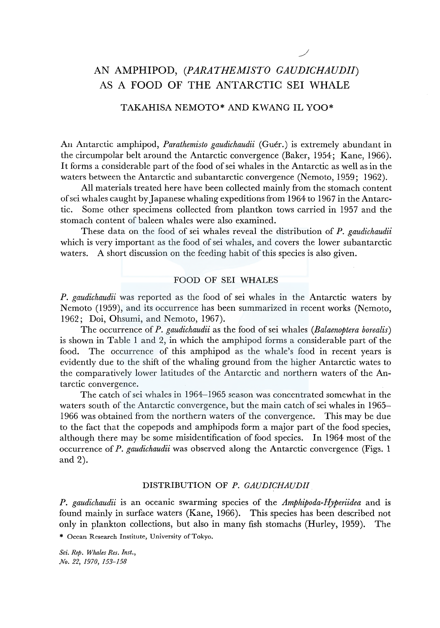# AN AMPHIPOD, *(PARATHEMISTO GAUDICHAUDII)*  AS A FOOD OF THE ANTARCTIC SEI WHALE

\_/

## TAKAHISA NEMOTO\* AND KWANG IL YOO\*

An Antarctic amphipod, *Parathemisto gaudichaudii* (Guer.) is extremely abundant in the circumpolar belt around the Antarctic convergence (Baker, 1954; Kane, 1966). It forms a considerable part of the food of sei whales in the Antarctic as well as in the waters between the Antarctic and subantarctic convergence (Nemoto, 1959; 1962).

All materials treated here have been collected mainly from the stomach content ofsei whales caught by Japanese whaling expeditions from 1964 to 1967 in the Antarctic. Some other specimens collected from plantkon tows carried in 1957 and the stomach content of baleen whales were also examined.

These data on the food of sei whales reveal the distribution of *P. gaudichaudii*  which is very important as the food of sei whales, and covers the lower subantarctic waters. A short discussion on the feeding habit of this species is also given.

# FOOD OF SEI WHALES

*P. gaudichaudii* was reported as the food of sei whales in the Antarctic waters by Nemoto (1959), and its occurrence has been summarized in recent works (Nemoto, 1962; Doi, Ohsumi, and Nemoto, 1967).

The occurrence of *P. gaudichaudii* as the food of sei whales *(Balaenoptera borealis)*  is shown in Table 1 and 2, in which the amphipod forms a considerable part of the food. The occurrence of this amphipod as the whale's food in recent years is evidently due to the shift of the whaling ground from the higher Antarctic wates to the comparatively lower latitudes of the Antarctic and northern waters of the Antarctic convergence.

The catch of sei whales in 1964-1965 season was concentrated somewhat in the waters south of the Antarctic convergence, but the main catch of sei whales in 1965- 1966 was obtained from the northern waters of the convergence. This may be due to the fact that the copepods and amphipods form a major part of the food species, although there may be some misidentification of food species. In 1964 most of the occurrence of *P. gaudichaudii* was observed along the Antarctic convergence (Figs. 1 and 2).

#### DISTRIBUTION OF *P. GAUDICHAUDII*

*P. gaudichaudii* is an oceanic swarming species of the *Amphipoda-Hyperiidea* and is found mainly in surface waters (Kane, 1966). This species has been described not only in plankton collections, but also in many fish stomachs (Hurley, 1959). The \* Ocean Research Institute, University of Tokyo.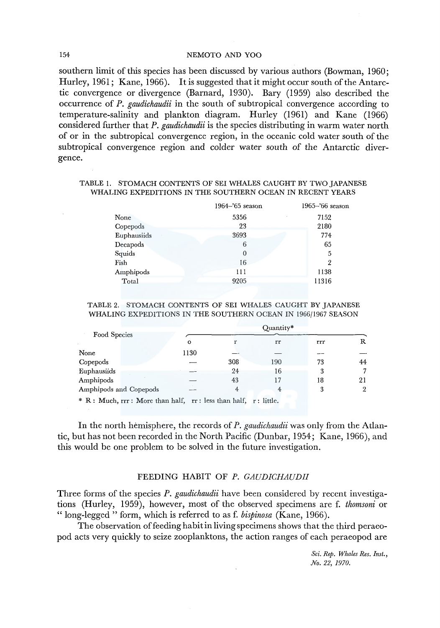#### 154 NEMOTO AND YOO

southern limit of this species has been discussed by various authors (Bowman, 1960; Hurley, 1961; Kane, 1966). It is suggested that it might occur south of the Antarctic convergence or divergence (Barnard, 1930). Bary (1959) also described the occurrence of *P. gaudichaudii* in the south of subtropical convergence according to temperature-salinity and plankton diagram. Hurley (1961) and Kane (1966) considered further that *P. gaudichaudii* is the species distributing in warm water north of or in the subtropical convergence region, in the oceanic cold water south of the subtropical convergence region and colder water south of the Antarctic divergence.

#### TABLE I. STOMACH CONTENTS OF SEI WHALES CAUGHT BY TWO JAPANESE WHALING EXPEDITIONS IN THE SOUTHERN OCEAN IN RECENT YEARS

|             | $1964 - 65$ season | 1965-'66 season |  |
|-------------|--------------------|-----------------|--|
| None        | 5356               | 7152            |  |
| Copepods    | 23                 | 2180            |  |
| Euphausiids | 3693               | 774             |  |
| Decapods    | 6                  | 65              |  |
| Squids      | 0                  | 5               |  |
| Fish        | 16                 | 2               |  |
| Amphipods   | 111                | 1138            |  |
| Total       | 9205               | 11316           |  |
|             |                    |                 |  |

#### TABLE 2. STOMACH CONTENTS OF SEI WHALES CAUGHT BY JAPANESE WHALING EXPEDITIONS IN THE SOUTHERN OCEAN IN 1966/1967 SEASON

|                        |         | Quantity* |      |     |    |  |
|------------------------|---------|-----------|------|-----|----|--|
| Food Species           | $\circ$ |           | rr   | rrr | R  |  |
| None                   | 1130    |           |      |     |    |  |
| Copepods               |         | 308       | 190  | 73  | 44 |  |
| Euphausiids            |         | 24        | 16   | 3   |    |  |
| Amphipods              |         | 43        |      | 18  | 21 |  |
| Amphipods and Copepods |         | 4         |      | 3   | 2  |  |
|                        |         |           | 1.11 |     |    |  |

\* R : Much, rrr : More than half, rr : less than half, r : little.

In the north hemisphere, the records of *P. gaudichaudii* was only from the Atlantic, but has not been recorded in the North Pacific (Dunbar, 1954; Kane, 1966), and this would be one problem to be solved in the future investigation.

## FEEDING HABIT OF *P. GAUDICHAUDII*

Three forms of the species *P. gaudichaudii* have been considered by recent investigations (Hurley, 1959), however, most of the observed specimens are f. *thomsoni* or "long-legged" form, which is referred to as f. *bispinosa* (Kane, 1966).

The observation of feeding habit in living specimens shows that the third peraeopod acts very quickly to seize zooplanktons, the action ranges of each peraeopod are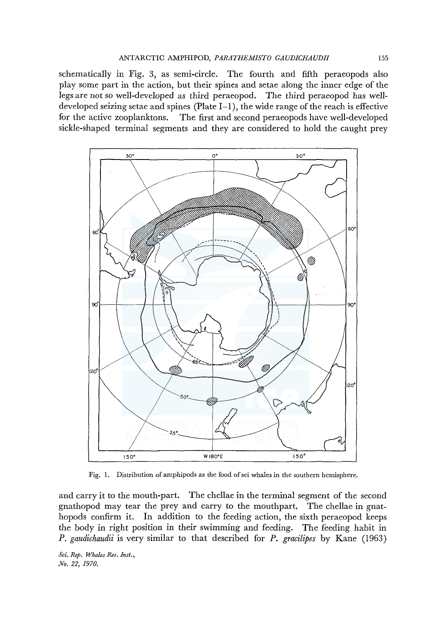schematically in Fig. 3, as semi-circle. The fourth and fifth peraeopods also play some part in the action, but their spines and setae along the inner edge of the legs are not so well-developed as third peraeopod. The third peraeopod has welldeveloped seizing setae and spines (Plate I-1), the wide range of the reach is effective for the active zooplanktons. The first and second peraeopods have well-developed sickle-shaped terminal segments and they are considered to hold the caught prey



Fig. 1. Distribution of amphipods as the food of sei whales in the southern hemisphere.

and carry it to the mouth-part. The chellae in the terminal segment of the second gnathopod may tear the prey and carry to the mouthpart. The chellae in gnathopods confirm it. In addition to the feeding action, the sixth peraeopod keeps the body in right position in their swimming and feeding. The feeding habit in *P. gaudichaudii* is very similar to that described for *P. gracilipes* by Kane (1963)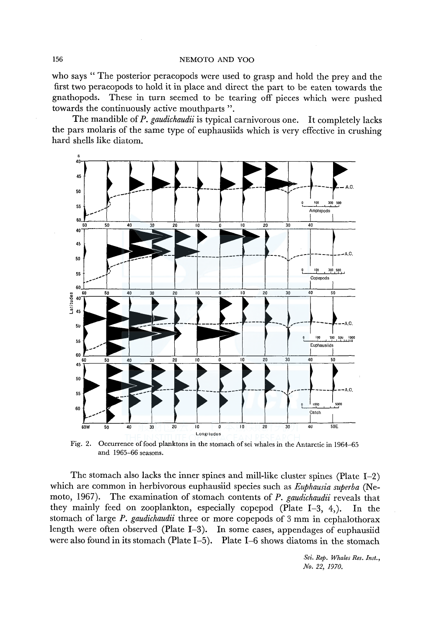156 NEMOTO AND YOO

who says " The posterior peraeopods were used to grasp and hold the prey and the first two peraeopods to hold it in place and direct the part to be eaten towards the gnathopods. These in turn seemed to be tearing off pieces which were pushed towards the continuously active mouthparts ".

The mandible of *P. gaudichaudii* is typical carnivorous one. It completely lacks the pars molaris of the same type of euphausiids which is very effective in crushing hard shells like diatom.



Fig. 2. Occurrence of food planktons in the stomach of sei whales in the Antarctic in 1964-65 and 1965-66 seasons.

The stomach also lacks the inner spines and mill-like cluster spines (Plate 1-2) which are common in herbivorous euphausiid species such as *Euphausia superba* (Nemoto, 1967). The examination of stomach contents of *P. gaudichaudii* reveals that they mainly feed on zooplankton, especially copepod (Plate  $I=3, 4,$ ). In the stomach of large *P. gaudichaudii* three or more copepods of 3 mm in cephalothorax length were often observed (Plate 1-3). In some cases, appendages of euphausiid were also found in its stomach (Plate 1-5). Plate 1-6 shows diatoms in the stomach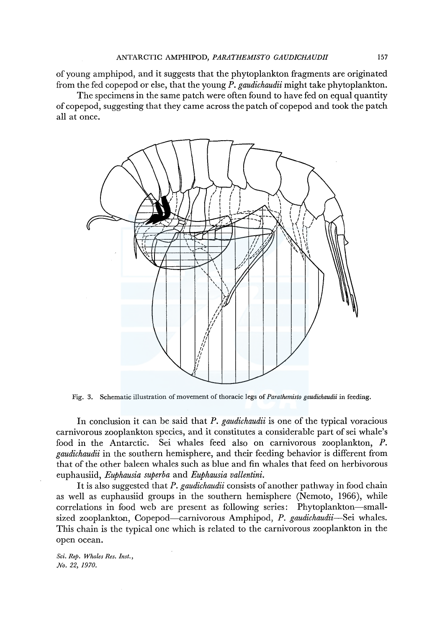of young amphipod, and it suggests that the phytoplankton fragments are originated from the fed copepod or else, that the young *P. gaudichaudii* might take phytoplankton.

The specimens in the same patch were often found to have fed on equal quantity of copepod, suggesting that they came across the patch of copepod and took the patch all at once.



Fig. 3. Schematic illustration of movement of thoracic legs of *Parathemisto gaudichaudii* in feeding.

In conclusion it can be said that *P. gaudichaudii* is one of the typical voracious carnivorous zooplankton species, and it constitutes a considerable part of sei whale's food in the Antarctic. Sei whales feed also on carnivorous zooplankton, P. *gaudichaudii* in the southern hemisphere, and their feeding behavior is different from that of the other baleen whales such as blue and fin whales that feed on herbivorous euphausiid, *Euphausia superba* and *Euphausia vallentini.* 

It is also suggested that *P. gaudichaudii* consists of another pathway in food chain as well as euphausiid groups in the southern hemisphere (Nemoto, 1966), while correlations in food web are present as following series: Phytoplankton-smallsized zooplankton, Copepod-carnivorous Amphipod, *P. gaudichaudii-Sei* whales. This chain is the typical one which is related to the carnivorous zooplankton in the open ocean.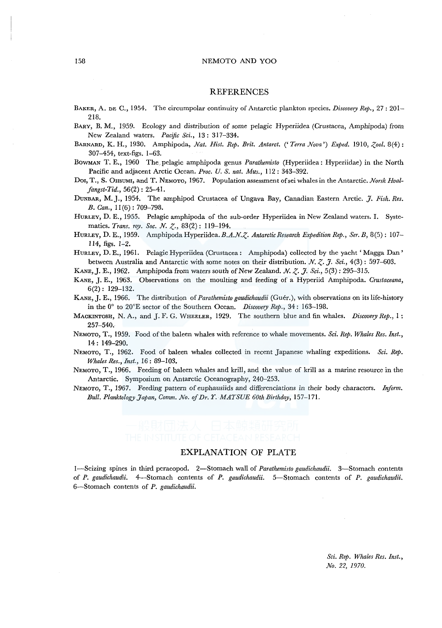#### 158 NEMOTO AND YOO

#### **REFERENCES**

BAKER, A. DE C., 1954. The circumpolar continuity of Antarctic plankton species. *Discovery Rep.,* 27: 201- 218.

BARY, B. M., 1959. Ecology and distribution of some pelagic Hyperiidea (Crustacea, Amphipoda) from New Zealand waters. *Pacific Sci.,* 13: 317-334.

BARNARD, K. H., 1930. Amphipoda, *Nat. Hist. Rep. Brit. Antarct. ('Terra Nova') Exped.* 1910, *.(ool.* 8(4): 307-454, text-figs. 1-63.

BOWMAN T. E., 1960 The pelagic amphipoda genus *Parathemisto* (Hyperiidea: Hyperiidae) in the North Pacific and adjacent Arctic Ocean. *Proc. U. S. nat. Mus.,* 112: 343-392.

Dor, T., S. OHSUMI, and T. NEMOTO, 1967. Population assessment of sei whales in the Antarctic. *Norsk Hvalfangst-Tid.,* 56(2): 25-41.

DUNBAR, M.J., 1954. The amphipod Crustacea of Ungava Bay, Canadian Eastern Arctic. *J. Fish. Res. B. Can.,* 11(6): 709-798.

HURLEY, D. E., 1955. Pelagic amphipoda of the sub-order Hyperiidea in New Zealand waters. I. Systematics. *Trans. roy. Soc. N. 7.*, 83(2): 119-194.

HURLEY, D. E., 1959. Amphipoda Hyperiidea. B.A.N.Z. Antarctic Research Expedition Rep., Ser. B, 8(5): 107-114, figs. 1-2.

HURLEY, D. E., 1961. Pelagic Hyperiidea (Crustacea: Amphipoda) collected by the yacht' Magga Dan' between Australia and Antarctic with some notes on their distribution. *N, Z, J. Sci.*,  $4(3)$ : 597-603.

*KANE,].* E., 1962. Amphipoda from waters south of New Zealand. N. *Z·* J. *Sci.,* 5(3): 295-315.

KANE, J.E., 1963. Observations on the moulting and feeding of a Hyperiid Amphipoda. *Crustaceana,*  6(2): 129-132.

KANE, J.E., 1966. The distribution of *Parathemisto gaudichaudii* (Guer.), with observations on its life-history in the 0° to 20°E sector of the Southern Ocean. *Discovery Rep.,* 34: 163-198.

MACKINTOSH, N. A., and J. F. G. WHEELER, 1929. The southern blue and fin whales. *Discovery Rep.,* 1 : 257-540.

NEMOTO, T., 1959. Food of the baleen whales with reference to whale movements. *Sci. Rep. Whales Res. Inst.,*  14: 149-290.

NEMOTO, T., 1962. Food of baleen whales collected in recent Japanese whaling expeditions. *Sci. Rep. Whales Res., Inst.,* 16: 89-103.

NEMOTO, T., 1966. Feeding of baleen whales and krill, and the value of krill as a marine resource in the Antarctic. Symposium on Antarctic Oceanography, 240-253.

NEMOTO, T., 1967. Feeding pattern of euphausiids and differenciations in their body characters. *Inform. Bull. Planktology Japan, Comm. No. of Dr. Y. MATSUE 60th Birthday,* 157-171.

## EXPLANATION OF PLATE

I-Seizing spines in third peraeopod. 2-Stomach wall of *Parathemisto gaudichaudii.* 3-Stomach contents of *P. gaudichaudii.* 4-Stomach contents of P. *gaudichaudii.* 5-Stomach contents of *P. gaudichaudii.*  6-Stomach contents of *P. gaudichaudii.*